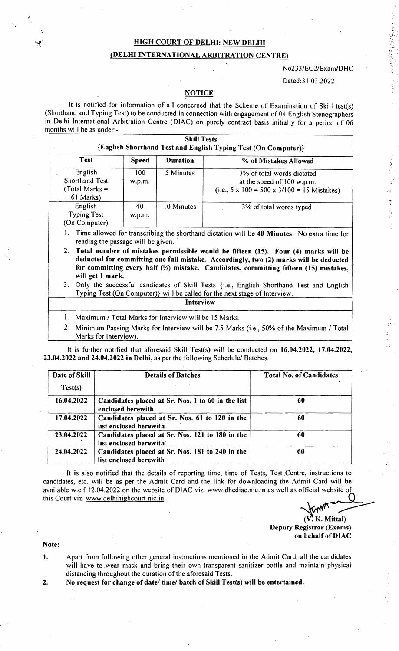## HIGH COURT OF DELHI: NEW DELHI (DELHI INTERNATIONAL ARBITRATION CENTRE)

#### N023 *3/EC2/Exam/D*HC

通信を整備 等にして

法国家

#### Dated:31.03.2022

### **NOTICE**

It is notified for information of all concerned thai the Scheme of Examination of Skill test(s) (Shorthand and Typing Test) to be conducted in connection with engagement of 04 English Stenographers in Delhi International Arbitration Centre (DIAC) on purely contract basis initially for a period of 06 months will be as under:-

| <b>Test</b>                                                | <b>Speed</b>  | <b>Duration</b> | % of Mistakes Allowed                                                                                   |
|------------------------------------------------------------|---------------|-----------------|---------------------------------------------------------------------------------------------------------|
| English<br>Shorthand Test<br>(Total Marks $=$<br>61 Marks) | 100<br>w.p.m. | 5 Minutes       | 3% of total words dictated<br>at the speed of 100 w.p.m.<br>(i.e., 5 x 100 = 500 x 3/100 = 15 Mistakes) |
| English<br><b>Typing Test</b><br>(On Computer)             | 40<br>w.p.m.  | 10 Minutes      | 3% of total words typed.                                                                                |

2. Total number of mistakes permissible would be fifteen (15). Four (4) marks will be deducted for committing one full mistake. Accordingly, two (2) marks will be deducted for committing every half  $\left(\frac{1}{2}\right)$  mistake. Candidates, committing fifteen (15) mistakes, will get 1 mark.

3. Only the successful candidates of Skill Tests {i.e., English Shorthand Test and English Typing Test (On Computer)} will be called for the next stage of Interview.

#### Interview

- l. Maximum I Total Marks for Interview will be 15 Marks.
- 2. Minimum Passing Marks for Interview will be 7.5 Marks (i.e., 50% of the Maximum / Total Marks for Interview).

It is further notified that aforesaid Skill Test(s) will be conducted on 16.04.2022, 17.04.2022, 23.04.2022 and 24.04.2022 in Delhi, as per the following Schedule/ Batches.

| Date of Skill<br>Test(s) | <b>Details of Batches</b>                                                 | <b>Total No. of Candidates</b> |
|--------------------------|---------------------------------------------------------------------------|--------------------------------|
| 16.04.2022               | Candidates placed at Sr. Nos. 1 to 60 in the list<br>enclosed herewith    | 60                             |
| 17.04.2022               | Candidates placed at Sr. Nos. 61 to 120 in the<br>list enclosed herewith  | 60                             |
| 23.04.2022               | Candidates placed at Sr. Nos. 121 to 180 in the<br>list enclosed herewith | 60                             |
| 24.04.2022               | Candidates placed at Sr. Nos. 181 to 240 in the<br>list enclosed herewith | 60                             |

It is also notified that the details of reporting time, time of Tests, Test Centre, instructions to candidates, etc. will be as per the Admit Card and. the link for downloading the Admit Card will be available w.e.f 12.04.2022 on the website of DlAC viz. www.dhcdiac.nic.in as well as official website of 24.04.2022 Candidates placed at Sr. Nos. 181 to 240 in the<br>
list enclosed herewith<br>
It is also notified that the details of reporting time, time of Tests, Test Centre, instructions to<br>
candidates, etc. will be as per the

Deputy Registrar (Exams) on behalf of DIAC

Note:

I

- 1. Apart from following other general instructions mentioned in the Admit Card, all the candidates will have to .wear mask and bring their own transparent sanitizer bottle and maintain physical distancing throughout the duration of the aforesaid Tests.
- 2. No request for change of date/ time/ batch of Skill Test(s) will be entertained.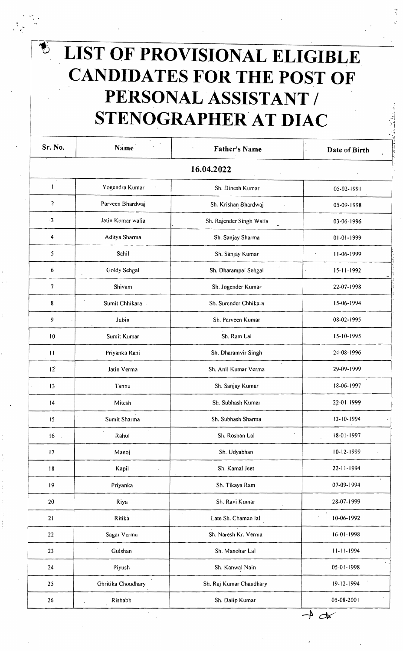# **LIST OF PROVISIONAL ELIGIBLE CANDIDATES FOR THE POST OF**  PERSONAL ASSISTANT / STENOGRAPHER AT DIAC

 $\sum$ 

| Sr. No.         | Name                    | <b>Father's Name</b>                        | Date of Birth            |
|-----------------|-------------------------|---------------------------------------------|--------------------------|
|                 |                         | 16.04.2022                                  |                          |
| $\cdot$<br>1    | Yogendra Kumar          | Sh. Dinesh Kumar                            | 05-02-1991               |
| $\overline{c}$  | Parveen Bhardwaj        | Sh. Krishan Bhardwaj                        | 05-09-1998               |
| 3               | Jatin Kumar walia       | Sh. Rajender Singh Walia                    | 03-06-1996               |
| 4               | Aditya Sharma           | Sh. Sanjay Sharma                           | 01-01-1999               |
| 5               | Sahil                   | Sh. Sanjay Kumar                            | 11-06-1999<br>$\epsilon$ |
| 6               | Goldy Sehgal            | Sh. Dharampal Sehgal                        | $15 - 11 - 1992$         |
| 7               | Shivam                  | Sh. Jogender Kumar                          | 22-07-1998               |
| 8               | Sumit Chhikara -        | Sh. Surender Chhikara                       | 15-06-1994               |
| 9               | Jubin                   | Sh. Parveen Kumar                           | 08-02-1995               |
| 10              | Sumit Kumar             | Sh. Ram Lal                                 | 15-10-1995               |
| $\mathbf{H}$    | Priyanka Rani           | Sh. Dharamvir Singh                         | 24-08-1996               |
| 12 <sup>°</sup> | Jatin Verma             | $\epsilon$<br>Sh. Anil Kumar Verma          | 29-09-1999               |
| 3               | Tannu                   | Sh. Sanjay Kumar                            | 18-06-1997               |
| 4               | Mitesh                  | Sh. Subhash Kumar                           | 22-01-1999               |
| 15              | Sumit Sharma            | Sh. Subhash Sharma                          | 13-10-1994               |
| 16              | $\blacksquare$<br>Rahul | Sh. Roshan Lal                              | $18-01-1997$             |
| 17              | Manoj                   | Sh. Udyabhan                                | 10-12-1999               |
| 18              | Kapil                   | Sh. Kamal Jeet                              | 22-11-1994               |
| 19              | Priyanka                | Sh. Tikaya Ram                              | 07-09-1994               |
| $20\,$          | Riya                    | Sh. Ravi Kumar                              | 28-07-1999               |
| 21              | Ritika                  | $\ddot{\phantom{0}}$<br>Late Sh. Chaman lal | 10-06-1992               |
| 22              | Sagar Verma             | Sh. Naresh Kr. Verma                        | 16-01-1998               |
| 23              | Gulshan                 | Sh. Manohar Lal                             | $11 - 11 - 1994$         |
| 24              | Piyush                  | Sh. Kanwal Nain                             | 05-01-1998               |
| 25              | Ghritika Choudhary      | Sh. Raj Kumar Chaudhary                     | 19-12-1994               |
| 26              | Rishabh                 | Sh. Dalip Kumar                             | 05-08-2001               |

.;. , '.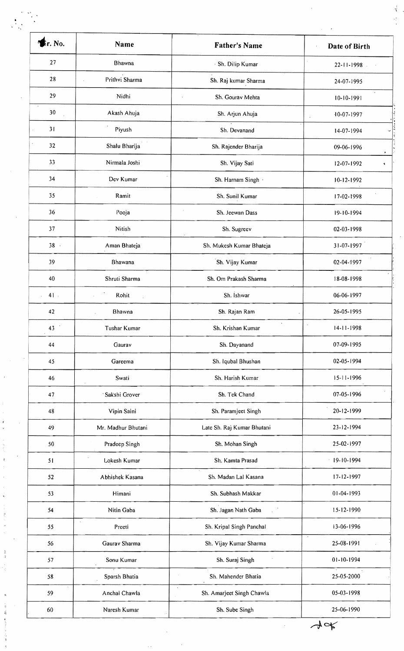| $r$ . No.                      | Name                            | <b>Father's Name</b>                     | Date of Birth    |
|--------------------------------|---------------------------------|------------------------------------------|------------------|
| 27                             | Bhawna                          | · Sh. Dilip Kumar                        | 22-11-1998       |
| 28                             | Prithvi Sharma<br>$\mathcal{L}$ | Sh. Raj kumar Sharma                     | 24-07-1995       |
| 29                             | Nidhi                           | Sh. Gourav Mehta<br>$\ddot{\phantom{a}}$ | 10-10-1991       |
| $\,$<br>30                     | Akash Ahuja                     | Sh. Arjun Ahuja                          | 10-07-1997       |
| 31<br>$\mathcal{L}$            | Piyush                          | Sh. Devanand                             | 14-07-1994       |
| 32                             | Shalu Bharija                   | Sh. Rajender Bharija                     | 09-06-1996       |
| 33                             | Nirmala Joshi                   | Sh. Vijay Sati                           | 12-07-1992       |
| 34                             | Dev Kumar                       | Sh. Harnam Singh                         | 10-12-1992       |
| 35                             | Ramit                           | Sh. Sunil Kumar                          | 17-02-1998       |
| 36                             | Pooja                           | Sh. Jeewan Dass                          | 19-10-1994       |
| 37                             | Nitish                          | Sh. Sugreev                              | 02-03-1998       |
| $38 -$                         | Aman Bhateja                    | Sh. Mukesh Kumar Bhateja                 | 31-07-1997       |
| 39                             | Bhawana                         | Sh. Vijay Kumar                          | 02-04-1997       |
| 40                             | Shruti Sharma                   | Sh. Om Prakash Sharma                    | 18-08-1998       |
| $41$ .<br>$\ddot{\phantom{0}}$ | Rohit                           | Sh. İshwar                               | 06-06-1997       |
| 42                             | Bhawna                          | Sh. Rajan Ram                            | 26-05-1995       |
| 43                             | Tushar Kumar                    | Sh. Krishan Kumar                        | $14 - 11 - 1998$ |
| 44                             | Gaurav                          | Sh. Dayanand                             | 07-09-1995       |
| 45                             | Gareema                         | Sh. Iqubal Bhushan                       | 02-05-1994       |
| 46                             | Swati                           | Sh. Harish Kumar                         | $15 - 11 - 1996$ |
| 47                             | Sakshi Grover                   | Sh. Tek Chand                            | 07-05-1996       |
| 48                             | Vipin Saini                     | Sh. Paramjeet Singh                      | 20-12-1999       |
| 49                             | Mr. Madhur Bhutani              | Late Sh. Raj Kumar Bhutani               | 23-12-1994       |
| 50                             | Pradeep Singh                   | Sh. Mohan Singh                          | 25-02-1997       |
| 51                             | Lokesh Kumar                    | Sh. Kamta Prasad                         | $-19-10-1994$    |
| 52                             | Abhishek Kasana                 | Sh. Madan Lal Kasana                     | 17-12-1997       |
| 53                             | Himani                          | Sh. Subhash Makkar                       | 01-04-1993       |
| 54                             | Nitin Gaba                      | Sh. Jagan Nath Gaba                      | $15 - 12 - 1990$ |
| $\cdot$<br>55                  | Preeti                          | Sh. Kripal Singh Panchal                 | 13-06-1996       |
| 56                             | Gaurav Sharma                   | Sh. Vijay Kumar Sharma                   | 25-08-1991       |
| 57                             | Sonu Kumar                      | Sh. Suraj Singh                          | 01-10-1994       |
| 58                             | Sparsh Bhatia                   | Sh. Mahender Bhatia                      | 25-05-2000       |
| 59                             | Anchal Chawla                   | $\star$<br>Sh. Amarjeet Singh Chawla     | 05-03-1998       |

医金属 医三角骨 建全

医水肿 人名英捷布 计分析

 $\frac{1}{2} \left( \frac{1}{2} \right)^2 \left( \frac{1}{2} \right)^2$ 

化二氢醇 的复数

 $\frac{1}{\sqrt{K}}$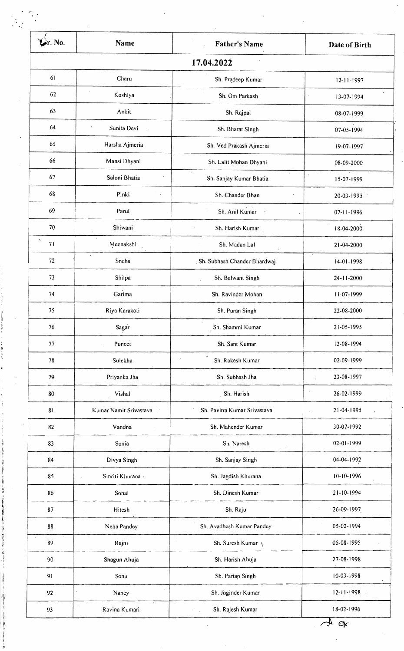| r. No.                         | Name                   | <b>Father's Name</b>                  | Date of Birth              |
|--------------------------------|------------------------|---------------------------------------|----------------------------|
|                                |                        | 17.04.2022                            |                            |
| 61                             | Charu                  | Sh. Pradeep Kumar                     | $12 - 11 - 1997$           |
| 62                             | Koshlya                | Sh. Om Parkash                        | 13-07-1994                 |
| 63                             | Ankit                  | Sh. Rajpal                            | 08-07-1999                 |
| 64                             | Sunita Devi            | Sh. Bharat Singh                      | 07-05-1994                 |
| 65                             | Harsha Ajmeria         | Sh. Ved Prakash Ajmeria               | 19-07-1997                 |
| 66                             | Mansi Dhyani           | Sh. Lalit Mohan Dhyani                | 08-09-2000                 |
| 67                             | Saloni Bhatia          | $\epsilon$<br>Sh. Sanjay Kumar Bhatia | 15-07-1999                 |
| 68                             | Pinki                  | Sh. Chander Bhan                      | 20-03-1995                 |
| 69                             | Parul                  | Sh. Anil Kumar                        | 07-11-1996                 |
| 70                             | Shiwani                | Sh. Harish Kumar                      | 18-04-2000                 |
| $\overline{\phantom{a}}$<br>71 | Meenakshi              | Sh. Madan Lal                         | 21-04-2000                 |
| 72                             | $\star$<br>Sneha       | Sh. Subhash Chander Bhardwaj          | 14-01-1998                 |
| 73                             | Shilpa                 | Sh. Balwant Singh                     | 24-11-2000                 |
| 74                             | Garima                 | Sh. Ravinder Mohan                    | 11-07-1999                 |
| 75                             | Riya Karakoti          | Sh. Puran Singh                       | 22-08-2000                 |
| 76                             | Sagar                  | Sh. Shammi Kumar                      | 21-05-1995                 |
| 77                             | Puneet                 | Sh. Sant Kumar                        | 12-08-1994                 |
| 78                             | Sulekha                | $\alpha$<br>Sh. Rakesh Kumar          | 02-09-1999                 |
| 79                             | Priyanka Jha           | Sh. Subhash Jha                       | 23-08-1997<br>$\mathbf{I}$ |
| 80                             | Vishal                 | Sh. Harish                            | 26-02-1999                 |
| 81                             | Kumar Namit Srivastava | Sh. Pavitra Kumar Srivastava          | 21-04-1995                 |
| 82                             | Vandna                 | Sh. Mahender Kumar                    | 30-07-1992                 |
| 83                             | Sonia                  | Sh. Naresh                            | 02-01-1999                 |
| 84                             | $\cdot$<br>Divya Singh | Sh. Sanjay Singh                      | 04-04-1992                 |
| 85                             | Smriti Khurana -       | Sh. Jagdish Khurana                   | 10-10-1996                 |
| 86                             | Sonal                  | Sh. Dinesh Kumar                      | 21-10-1994                 |
| 87                             | Hitesh                 | Sh. Raju                              | 26-09-1997                 |
| 88                             | Neha Pandey            | Sh. Avadhesh Kumar Pandey             | 05-02-1994                 |
| $\cdot$<br>89                  | Rajni                  | $\lambda$<br>Sh. Suresh Kumar         | 05-08-1995                 |
| 90                             | Shagun Ahuja           | Sh. Harish Ahuja                      | 27-08-1998                 |
| 91                             | Sonu                   | Sh. Partap Singh                      | $10-03-1998$               |
| 92                             | Nancy                  | Sh. Joginder Kumar                    | $12 - 11 - 1998$ .         |

**Sample Park** 

*.rl*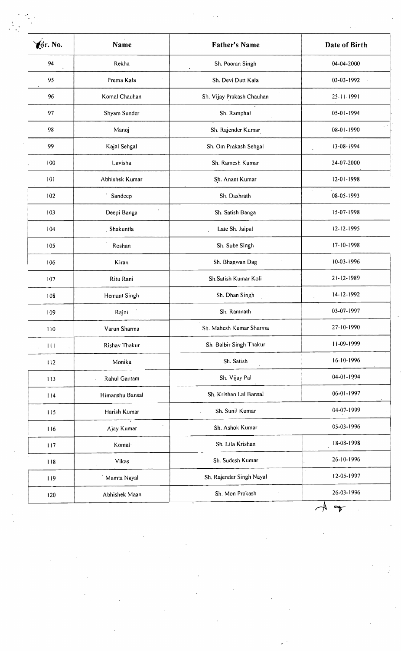| Gr. No. | Name               | <b>Father's Name</b>      | Date of Birth |
|---------|--------------------|---------------------------|---------------|
| 94      | Rekha              | Sh. Pooran Singh          | 04-04-2000    |
| 95      | Prema Kala         | Sh. Devi Dutt Kala        | 03-03-1992    |
| 96      | Komal Chauhan      | Sh. Vijay Prakash Chauhan | 25-11-1991    |
| 97      | Shyam Sunder       | Sh. Ramphal               | 05-01-1994    |
| 98      | Manoj              | Sh. Rajender Kumar        | 08-01-1990    |
| 99      | Kajal Sehgal       | Sh. Om Prakash Sehgal     | 13-08-1994    |
| 100     | Lavisha            | Sh. Ramesh Kumar          | 24-07-2000    |
| 101     | Abhishek Kumar     | Sh. Anant Kumar           | 12-01-1998    |
| 102     | Sandeep            | Sh. Dashrath              | 08-05-1993    |
| 103     | Deepi Banga        | Sh. Satish Banga          | 15-07-1998    |
| 104     | Shakuntla          | Late Sh. Jaipal           | 12-12-1995    |
| 105     | Roshan             | Sh. Sube Singh            | 17-10-1998    |
| 106     | Kiran              | Sh. Bhagwan Dag           | 10-03-1996    |
| 107     | Ritu Rani          | Sh.Satish Kumar Koli      | 21-12-1989    |
| 108     | Hemant Singh       | Sh. Dhan Singh            | 14-12-1992    |
| 109     | Rajni              | Sh. Ramnath               | 03-07-1997    |
| 110     | Varun Sharma       | Sh. Mahesh Kumar Sharma   | 27-10-1990    |
| 111     | Rishav Thakur      | Sh. Balbir Singh Thakur   | 11-09-1999    |
| 112     | Monika             | Sh. Satish                | 16-10-1996    |
| 113     | Rahul Gautam       | Sh. Vijay Pal             | 04-01-1994    |
| 114     | Himanshu Bansal    | Sh. Krishan Lal Bansal    | 06-01-1997    |
| 115     | Harish Kumar       | Sh. Sunil Kumar           | 04-07-1999    |
| 116     | Ajay Kumar         | Sh. Ashok Kumar           | 05-03-1996    |
| 117     | Komal <sup>-</sup> | Sh. Lila Krishan          | 18-08-1998    |
| 118     | Vikas              | Sh. Sudesh Kumar          | 26-10-1996    |
| 119     | Mamta Nayal        | Sh. Rajender Singh Nayal  | 12-05-1997    |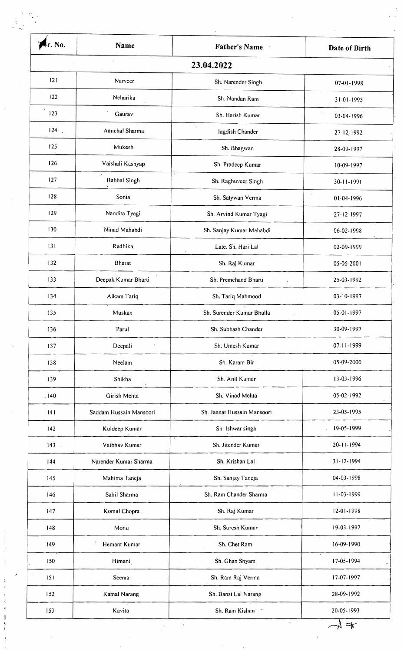| kr. No. | Name                                 | <b>Father's Name</b>              | Date of Birth     |
|---------|--------------------------------------|-----------------------------------|-------------------|
|         |                                      | 23.04.2022                        |                   |
| 121     | Narveer                              | Sh. Narender Singh                | 07-01-1998        |
| 122     | Neharika                             | Sh. Nandan Ram                    | 31-01-1995        |
| 123     | Gaurav                               | Sh. Harish Kumar                  | 03-04-1996        |
| 124     | Aanchal Sharma                       | Jagdish Chander                   | $27 - 12 - 1992$  |
| 125     | Mukesh                               | Sh. Bhagwan                       | 28-09-1997        |
| 126     | Vaishali Kashyap                     | Sh. Pradeep Kumar                 | 10-09-1997        |
| 127     | $\mathcal{F}$<br><b>Babbal Singh</b> | Sh. Raghuveer Singh               | 30-11-1991        |
| 128     | Sonia                                | Sh. Satywan Verma                 | 01-04-1996        |
| 129     | Nandita Tyagi                        | Sh. Arvind Kumar Tyagi            | $-27 - 12 - 1997$ |
| 130     | Ninad Mahabdi                        | Sh. Sanjay Kumar Mahabdi          | 06-02-1998        |
| 131     | Radhika                              | Late. Sh. Hari Lal<br>$\epsilon$  | 02-09-1999        |
| 132     | <b>Bharat</b>                        | Sh. Raj Kumar                     | 05-06-2001        |
| 133     | Deepak Kumar Bharti                  | Sh. Premchand Bharti<br>$\lambda$ | 25-03-1992        |
| 134     | Alkam Tariq                          | Sh. Tariq Mahmood                 | 03-10-1997        |
| 135     | Muskan                               | Sh. Surender Kumar Bhalla         | 05-01-1997        |
| 136     | Parul                                | Sh. Subhash Chander               | 30-09-1997        |
| 137     | Deepali                              | Sh. Umesh Kumar                   | 07-11-1999        |
| 138     | Neelam                               | Sh. Karam Bir                     | 05-09-2000        |
| -139    | Shikha                               | Sh. Anil Kumar                    | 13-03-1996        |
| .140    | Girish Mehta                         | Sh. Vinod Mehta                   | 05-02-1992        |
| 4       | Saddam Hussain Mansoori              | Sh. Jannat Hussain Mansoori       | 23-05-1995        |
| 142     | Kuldeep Kumar                        | Sh. Ishwar singh                  | 19-05-1999        |
| 143     | Vaibhav Kumar                        | Sh. Jitender Kumar                | 20-11-1994        |
| 44      | Narender Kumar Sharma                | Sh. Krishan Lal                   | $31 - 12 - 1994$  |
| 145     | Mahima Taneja                        | Sh. Sanjay Taneja                 | 04-03-1998        |
| 146     | Sahil Sharma                         | Sh. Ram Chander Sharma            | 11-03-1999        |
| 147     | Komal Chopra                         | Sh. Raj Kumar                     | 12-01-1998        |
| 148     | Monu                                 | Sh. Suresh Kumar                  | 19-03-1997        |
| 149     | Hemant Kumar                         | Sh. Chet Ram                      | 16-09-1990        |
| 150     | Himani                               | Sh. Ghan Shyam                    | 17-05-1994        |
| 151     | Seema                                | Sh. Ram Raj Verma                 | 17-07-1997        |
| 152     | Kamal Narang                         | Sh. Bansi Lal Narang              | 28-09-1992        |

一起身是

 $\frac{1}{2}$ 

 $\begin{array}{c}\n1 \\
1\n\end{array}$ 

现≮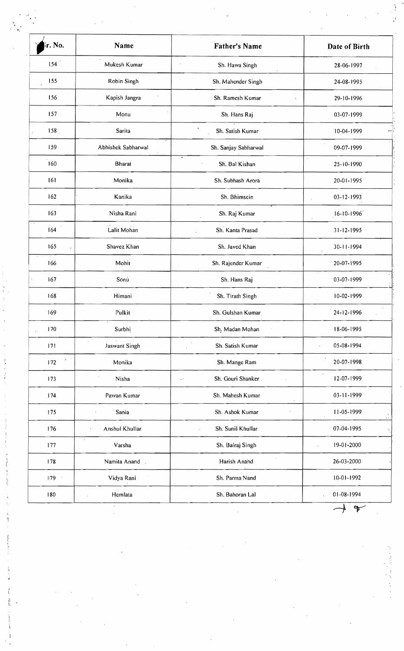| r. No.     | Name                                   | <b>Father's Name</b>                      | Date of Birth                      |
|------------|----------------------------------------|-------------------------------------------|------------------------------------|
| 154        | Mukesh Kumar                           | Sh. Hawa Singh                            | 28-06-1997                         |
| 155        | Robin Singh                            | Sh. Mahender Singh                        | 24-08-1995                         |
| 156        | Kapish Jangra                          | Sh. Ramesh Kumar                          | 29-10-1996                         |
| 157        | Monu                                   | Sh. Hans Raj                              | 03-07-1999                         |
| 158        | Sarita                                 | Sh. Satish Kumar                          | 10-04-1999                         |
| 159        | Abhishek Sabharwal                     | Sh. Sanjay Sabharwal                      | 09-07-1999                         |
| 160        | <b>Bharat</b>                          | ٥<br>Sh. Bal Kishan                       | 25-10-1990                         |
| 161        | Monika                                 | Sh. Subhash Arora                         | 20-01-1995                         |
| 162        | Kanika                                 | Sh. Bhimsein                              | 03-12-1993                         |
| 163        | Nisha Rani                             | Sh. Raj Kumar                             | $16 - 10 - 1996$                   |
| 164        | Lalit Mohan                            | Sh. Kanta Prasad                          | 31-12-1995                         |
| 165        | Shavez Khan                            | Sh. Javed Khan                            | 30-11-1994                         |
| 166        | Mohit                                  | Sh. Rajender Kumar                        | 20-07-1995                         |
| 167        | Sonu                                   | Sh. Hans Raj                              | 03-07-1999                         |
| 168        | Himani                                 | Sh. Tirath Singh                          | 10-02-1999                         |
| 169        | Pulkit                                 | Sh. Gulshan Kumar                         | 24-12-1996                         |
| 170        | Surbhi                                 | Sh. Madan Mohan                           | 18-06-1995                         |
| 171        | Jaswant Singh                          | Sh. Satish Kumar                          | 05-08-1994                         |
| 172        | Monika                                 | Sh. Mange Ram                             | 20-07-1998                         |
| 173        | Nisha                                  | Sh. Gouri Shanker.<br>$\mathcal{L}^{(2)}$ | $\bullet$<br>12-07-1999            |
| 174        | Pawan Kumar                            | Sh. Mahesh Kumar                          | 03-11-1999                         |
| 175        | Sania                                  | Sh. Ashok Kumar                           | 11-05-1999                         |
| 176        | Anshul Khullar<br>$\ddot{\phantom{1}}$ | Sh. Sunil Khullar<br>$\ddot{\phantom{a}}$ | 07-04-1995<br>ŕ,                   |
| 177        | $\epsilon$<br>Varsha                   | Sh. Balraj Singh                          | 19-01-2000<br>ä,                   |
| 178        | Namita Anand                           | Harish Anand                              | 26-03-2000                         |
| $1.79 - 1$ | Vidya Rani                             | Sh. Parma Nand                            | 10-01-1992                         |
| 180        | Hemlata                                | Sh. Bahoran Lal                           | 01-08-1994<br>$\ddot{\phantom{0}}$ |
|            |                                        |                                           |                                    |

**The Second Second Second** 

 $\frac{1}{\sqrt{2}}\sum_{i=1}^{n} \frac{1}{\sqrt{2}}\left(\frac{1}{\sqrt{2}}\right)^2\left(\frac{1}{\sqrt{2}}\right)^2\left(\frac{1}{\sqrt{2}}\right)^2.$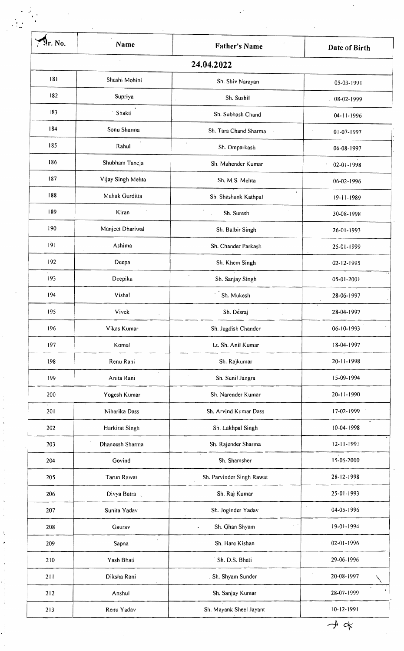| r. No. | Name                          | <b>Father's Name</b>                  | Date of Birth    |
|--------|-------------------------------|---------------------------------------|------------------|
|        |                               | 24.04.2022                            |                  |
| 181    | Shashi Mohini                 | Sh. Shiv Narayan                      | 05-03-1991       |
| 182    | Supriya                       | Sh. Sushil<br>$\bullet$               | 08-02-1999       |
| 183    | Shakti                        | Sh. Subhash Chand                     | 04-11-1996       |
| 184    | Sonu Sharma                   | Sh. Tara Chand Sharma                 | 01-07-1997       |
| 185    | Rahul                         | Sh. Omparkash                         | 06-08-1997       |
| 186    | Shubham Taneja                | Sh. Mahender Kumar                    | 02-01-1998       |
| 187    | Vijay Singh Mehta             | Sh. M.S. Mehta                        | 06-02-1996       |
| 188    | Mahak Gurditta                | ٠<br>Sh. Shashank Kathpal             | 19-11-1989       |
| 189    | $\lambda$<br>Kiran            | Sh. Suresh                            | 30-08-1998       |
| 190    | Manjeet Dhariwal              | Sh. Balbir Singh                      | 26-01-1993       |
| 9      | Ashima                        | Sh. Chander Parkash                   | 25-01-1999       |
| 192    | Deepa                         | Sh. Khem Singh                        | 02-12-1995       |
| 193    | Deepika                       | Sh. Sanjay Singh                      | $05 - 01 - 2001$ |
| 194    | Vishal                        | Sh. Mukesh                            | 28-06-1997       |
| 195    | Vivek<br>$\ddot{\phantom{1}}$ | Sh. Desraj                            | 28-04-1997       |
| 196    | Vikas Kumar                   | Sh. Jagdish Chander                   | 06-10-1993       |
| 197    | Komal                         | Lt. Sh. Anil Kumar                    | 18-04-1997       |
| 198    | Renu Rani                     | Sh. Rajkumar                          | 20-11-1998       |
| 199    | Anita Rani                    | Sh. Sunil Jangra                      | 15-09-1994       |
| 200    | Yogesh Kumar                  | Sh. Narender Kumar                    | 20-11-1990       |
| 201    | Niharika Dass                 | Sh. Arvind Kumar Dass                 | $17-02-1999$     |
| 202    | Harkirat Singh                | Sh. Lakhpal Singh                     | 10-04-1998       |
| 203    | Dhaneesh Sharma               | Sh. Rajender Sharma                   | $12 - 11 - 1991$ |
| 204    | Govind                        | $\cdot$<br>Sh. Shamsher               | 15-06-2000       |
| 205    | Tarun Rawat                   | Sh. Parvinder Singh Rawat             | 28-12-1998       |
| 206    | Divya Batra                   | $\bullet$<br>Sh. Raj Kumar            | 25-01-1993       |
| 207    | Sunita Yadav                  | Sh. Joginder Yadav                    | 04-05-1996       |
| 208    | Gaurav                        | Sh. Ghan Shyam<br>v.<br>$\pmb{\cdot}$ | 19-01-1994       |
| 209    | Sapna                         | Sh. Hare Kishan                       | 02-01-1996       |
| 210    | Yash Bhati                    | Sh. D.S. Bhati                        | 29-06-1996       |
| 211    | Diksha Rani                   | . Sh. Shyam Sunder                    | 20-08-1997       |
| 212    | Anshul                        | Sh. Sanjay Kumar                      | 28-07-1999       |
| 213    | Renu Yadav                    | Sh. Mayank Sheel Jayant               | $10 - 12 - 1991$ |